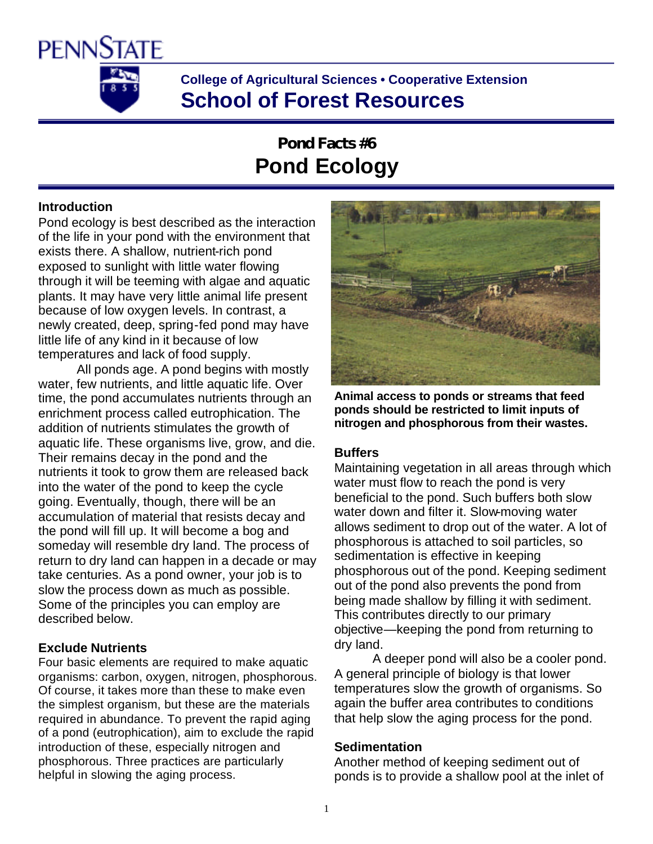

**College of Agricultural Sciences • Cooperative Extension School of Forest Resources**

# **Pond Facts #6 Pond Ecology**

# **Introduction**

Pond ecology is best described as the interaction of the life in your pond with the environment that exists there. A shallow, nutrient-rich pond exposed to sunlight with little water flowing through it will be teeming with algae and aquatic plants. It may have very little animal life present because of low oxygen levels. In contrast, a newly created, deep, spring-fed pond may have little life of any kind in it because of low temperatures and lack of food supply.

All ponds age. A pond begins with mostly water, few nutrients, and little aquatic life. Over time, the pond accumulates nutrients through an enrichment process called eutrophication. The addition of nutrients stimulates the growth of aquatic life. These organisms live, grow, and die. Their remains decay in the pond and the nutrients it took to grow them are released back into the water of the pond to keep the cycle going. Eventually, though, there will be an accumulation of material that resists decay and the pond will fill up. It will become a bog and someday will resemble dry land. The process of return to dry land can happen in a decade or may take centuries. As a pond owner, your job is to slow the process down as much as possible. Some of the principles you can employ are described below.

# **Exclude Nutrients**

Four basic elements are required to make aquatic organisms: carbon, oxygen, nitrogen, phosphorous. Of course, it takes more than these to make even the simplest organism, but these are the materials required in abundance. To prevent the rapid aging of a pond (eutrophication), aim to exclude the rapid introduction of these, especially nitrogen and phosphorous. Three practices are particularly helpful in slowing the aging process.



**Animal access to ponds or streams that feed ponds should be restricted to limit inputs of nitrogen and phosphorous from their wastes.**

# **Buffers**

Maintaining vegetation in all areas through which water must flow to reach the pond is very beneficial to the pond. Such buffers both slow water down and filter it. Slow-moving water allows sediment to drop out of the water. A lot of phosphorous is attached to soil particles, so sedimentation is effective in keeping phosphorous out of the pond. Keeping sediment out of the pond also prevents the pond from being made shallow by filling it with sediment. This contributes directly to our primary objective—keeping the pond from returning to dry land.

A deeper pond will also be a cooler pond. A general principle of biology is that lower temperatures slow the growth of organisms. So again the buffer area contributes to conditions that help slow the aging process for the pond.

# **Sedimentation**

Another method of keeping sediment out of ponds is to provide a shallow pool at the inlet of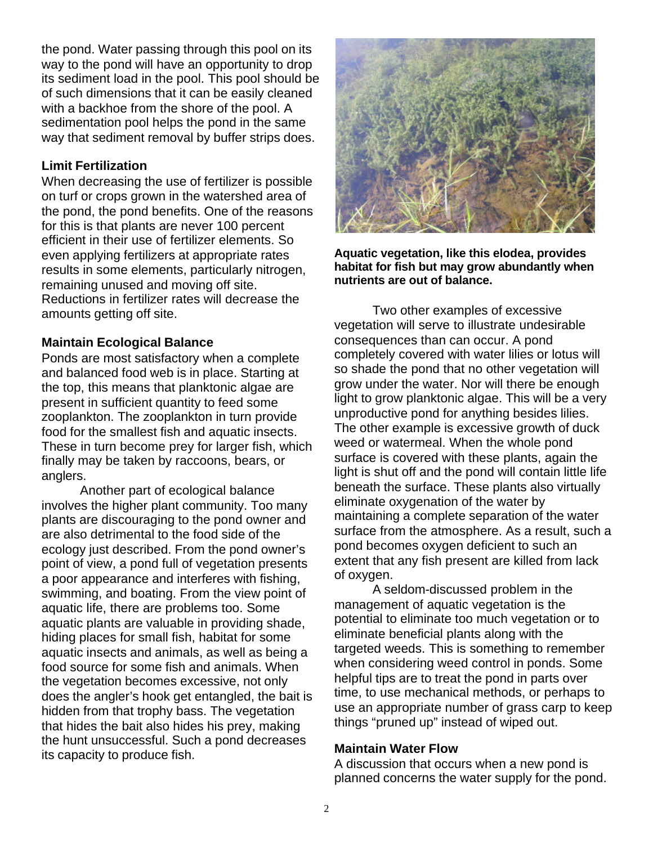the pond. Water passing through this pool on its way to the pond will have an opportunity to drop its sediment load in the pool. This pool should be of such dimensions that it can be easily cleaned with a backhoe from the shore of the pool. A sedimentation pool helps the pond in the same way that sediment removal by buffer strips does.

# **Limit Fertilization**

When decreasing the use of fertilizer is possible on turf or crops grown in the watershed area of the pond, the pond benefits. One of the reasons for this is that plants are never 100 percent efficient in their use of fertilizer elements. So even applying fertilizers at appropriate rates results in some elements, particularly nitrogen, remaining unused and moving off site. Reductions in fertilizer rates will decrease the amounts getting off site.

# **Maintain Ecological Balance**

Ponds are most satisfactory when a complete and balanced food web is in place. Starting at the top, this means that planktonic algae are present in sufficient quantity to feed some zooplankton. The zooplankton in turn provide food for the smallest fish and aquatic insects. These in turn become prey for larger fish, which finally may be taken by raccoons, bears, or anglers.

Another part of ecological balance involves the higher plant community. Too many plants are discouraging to the pond owner and are also detrimental to the food side of the ecology just described. From the pond owner's point of view, a pond full of vegetation presents a poor appearance and interferes with fishing, swimming, and boating. From the view point of aquatic life, there are problems too. Some aquatic plants are valuable in providing shade, hiding places for small fish, habitat for some aquatic insects and animals, as well as being a food source for some fish and animals. When the vegetation becomes excessive, not only does the angler's hook get entangled, the bait is hidden from that trophy bass. The vegetation that hides the bait also hides his prey, making the hunt unsuccessful. Such a pond decreases its capacity to produce fish.



**Aquatic vegetation, like this elodea, provides habitat for fish but may grow abundantly when nutrients are out of balance.**

Two other examples of excessive vegetation will serve to illustrate undesirable consequences than can occur. A pond completely covered with water lilies or lotus will so shade the pond that no other vegetation will grow under the water. Nor will there be enough light to grow planktonic algae. This will be a very unproductive pond for anything besides lilies. The other example is excessive growth of duck weed or watermeal. When the whole pond surface is covered with these plants, again the light is shut off and the pond will contain little life beneath the surface. These plants also virtually eliminate oxygenation of the water by maintaining a complete separation of the water surface from the atmosphere. As a result, such a pond becomes oxygen deficient to such an extent that any fish present are killed from lack of oxygen.

A seldom-discussed problem in the management of aquatic vegetation is the potential to eliminate too much vegetation or to eliminate beneficial plants along with the targeted weeds. This is something to remember when considering weed control in ponds. Some helpful tips are to treat the pond in parts over time, to use mechanical methods, or perhaps to use an appropriate number of grass carp to keep things "pruned up" instead of wiped out.

# **Maintain Water Flow**

A discussion that occurs when a new pond is planned concerns the water supply for the pond.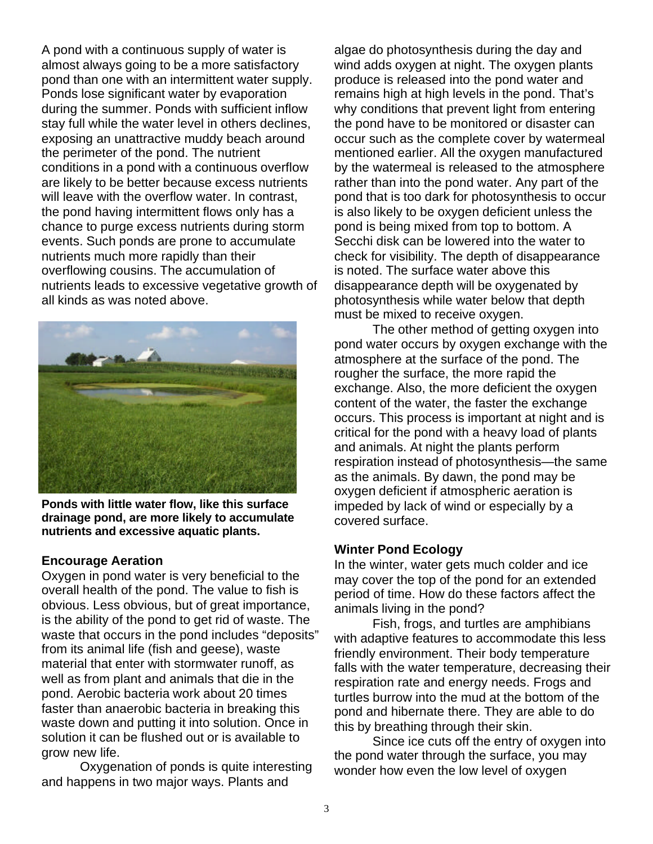A pond with a continuous supply of water is almost always going to be a more satisfactory pond than one with an intermittent water supply. Ponds lose significant water by evaporation during the summer. Ponds with sufficient inflow stay full while the water level in others declines, exposing an unattractive muddy beach around the perimeter of the pond. The nutrient conditions in a pond with a continuous overflow are likely to be better because excess nutrients will leave with the overflow water. In contrast, the pond having intermittent flows only has a chance to purge excess nutrients during storm events. Such ponds are prone to accumulate nutrients much more rapidly than their overflowing cousins. The accumulation of nutrients leads to excessive vegetative growth of all kinds as was noted above.



**Ponds with little water flow, like this surface drainage pond, are more likely to accumulate nutrients and excessive aquatic plants.** 

# **Encourage Aeration**

Oxygen in pond water is very beneficial to the overall health of the pond. The value to fish is obvious. Less obvious, but of great importance, is the ability of the pond to get rid of waste. The waste that occurs in the pond includes "deposits" from its animal life (fish and geese), waste material that enter with stormwater runoff, as well as from plant and animals that die in the pond. Aerobic bacteria work about 20 times faster than anaerobic bacteria in breaking this waste down and putting it into solution. Once in solution it can be flushed out or is available to grow new life.

Oxygenation of ponds is quite interesting and happens in two major ways. Plants and

algae do photosynthesis during the day and wind adds oxygen at night. The oxygen plants produce is released into the pond water and remains high at high levels in the pond. That's why conditions that prevent light from entering the pond have to be monitored or disaster can occur such as the complete cover by watermeal mentioned earlier. All the oxygen manufactured by the watermeal is released to the atmosphere rather than into the pond water. Any part of the pond that is too dark for photosynthesis to occur is also likely to be oxygen deficient unless the pond is being mixed from top to bottom. A Secchi disk can be lowered into the water to check for visibility. The depth of disappearance is noted. The surface water above this disappearance depth will be oxygenated by photosynthesis while water below that depth must be mixed to receive oxygen.

The other method of getting oxygen into pond water occurs by oxygen exchange with the atmosphere at the surface of the pond. The rougher the surface, the more rapid the exchange. Also, the more deficient the oxygen content of the water, the faster the exchange occurs. This process is important at night and is critical for the pond with a heavy load of plants and animals. At night the plants perform respiration instead of photosynthesis—the same as the animals. By dawn, the pond may be oxygen deficient if atmospheric aeration is impeded by lack of wind or especially by a covered surface.

# **Winter Pond Ecology**

In the winter, water gets much colder and ice may cover the top of the pond for an extended period of time. How do these factors affect the animals living in the pond?

Fish, frogs, and turtles are amphibians with adaptive features to accommodate this less friendly environment. Their body temperature falls with the water temperature, decreasing their respiration rate and energy needs. Frogs and turtles burrow into the mud at the bottom of the pond and hibernate there. They are able to do this by breathing through their skin.

Since ice cuts off the entry of oxygen into the pond water through the surface, you may wonder how even the low level of oxygen